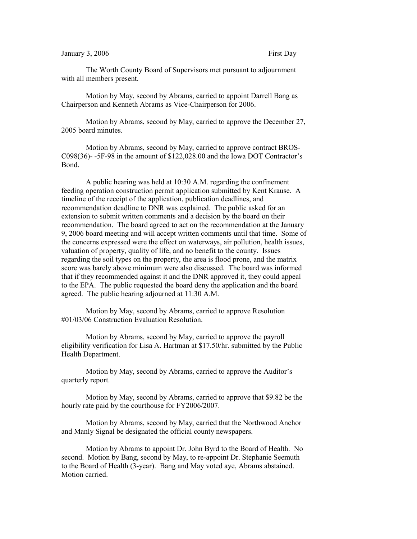## January 3, 2006 First Day

The Worth County Board of Supervisors met pursuant to adjournment with all members present.

Motion by May, second by Abrams, carried to appoint Darrell Bang as Chairperson and Kenneth Abrams as Vice-Chairperson for 2006.

Motion by Abrams, second by May, carried to approve the December 27, 2005 board minutes.

Motion by Abrams, second by May, carried to approve contract BROS-C098(36)- -5F-98 in the amount of \$122,028.00 and the Iowa DOT Contractor's Bond.

A public hearing was held at 10:30 A.M. regarding the confinement feeding operation construction permit application submitted by Kent Krause. A timeline of the receipt of the application, publication deadlines, and recommendation deadline to DNR was explained. The public asked for an extension to submit written comments and a decision by the board on their recommendation. The board agreed to act on the recommendation at the January 9, 2006 board meeting and will accept written comments until that time. Some of the concerns expressed were the effect on waterways, air pollution, health issues, valuation of property, quality of life, and no benefit to the county. Issues regarding the soil types on the property, the area is flood prone, and the matrix score was barely above minimum were also discussed. The board was informed that if they recommended against it and the DNR approved it, they could appeal to the EPA. The public requested the board deny the application and the board agreed. The public hearing adjourned at 11:30 A.M.

Motion by May, second by Abrams, carried to approve Resolution #01/03/06 Construction Evaluation Resolution.

Motion by Abrams, second by May, carried to approve the payroll eligibility verification for Lisa A. Hartman at \$17.50/hr. submitted by the Public Health Department.

Motion by May, second by Abrams, carried to approve the Auditor's quarterly report.

Motion by May, second by Abrams, carried to approve that \$9.82 be the hourly rate paid by the courthouse for FY2006/2007.

Motion by Abrams, second by May, carried that the Northwood Anchor and Manly Signal be designated the official county newspapers.

Motion by Abrams to appoint Dr. John Byrd to the Board of Health. No second. Motion by Bang, second by May, to re-appoint Dr. Stephanie Seemuth to the Board of Health (3-year). Bang and May voted aye, Abrams abstained. Motion carried.